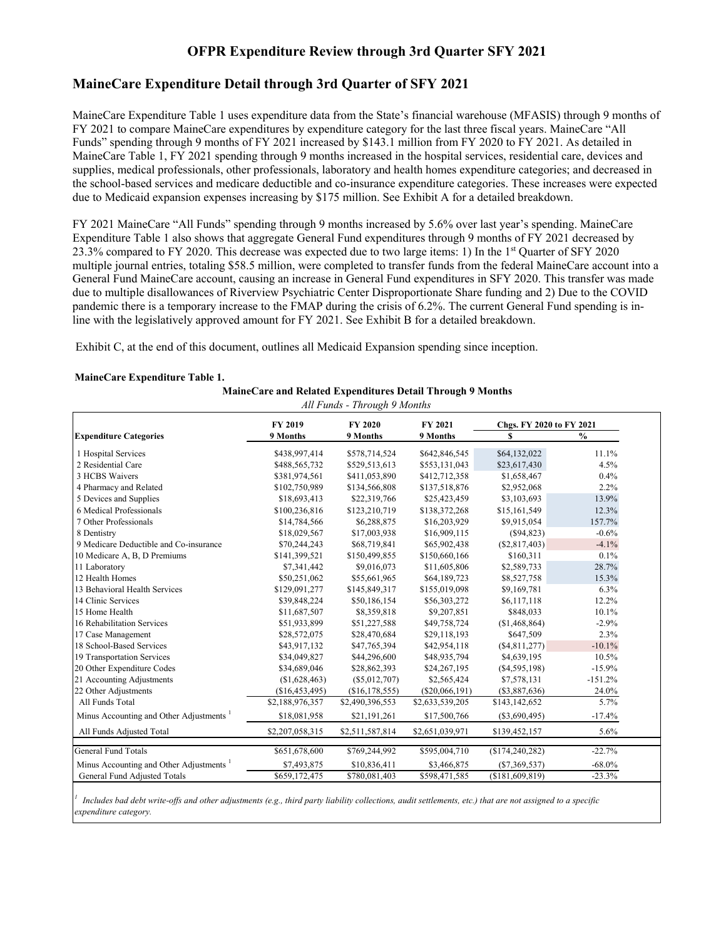#### **OFPR Expenditure Review through 3rd Quarter SFY 2021**

#### **MaineCare Expenditure Detail through 3rd Quarter of SFY 2021**

MaineCare Expenditure Table 1 uses expenditure data from the State's financial warehouse (MFASIS) through 9 months of FY 2021 to compare MaineCare expenditures by expenditure category for the last three fiscal years. MaineCare "All Funds" spending through 9 months of FY 2021 increased by \$143.1 million from FY 2020 to FY 2021. As detailed in MaineCare Table 1, FY 2021 spending through 9 months increased in the hospital services, residential care, devices and supplies, medical professionals, other professionals, laboratory and health homes expenditure categories; and decreased in the school-based services and medicare deductible and co-insurance expenditure categories. These increases were expected due to Medicaid expansion expenses increasing by \$175 million. See Exhibit A for a detailed breakdown.

FY 2021 MaineCare "All Funds" spending through 9 months increased by 5.6% over last year's spending. MaineCare Expenditure Table 1 also shows that aggregate General Fund expenditures through 9 months of FY 2021 decreased by 23.3% compared to FY 2020. This decrease was expected due to two large items: 1) In the 1st Quarter of SFY 2020 multiple journal entries, totaling \$58.5 million, were completed to transfer funds from the federal MaineCare account into a General Fund MaineCare account, causing an increase in General Fund expenditures in SFY 2020. This transfer was made due to multiple disallowances of Riverview Psychiatric Center Disproportionate Share funding and 2) Due to the COVID pandemic there is a temporary increase to the FMAP during the crisis of 6.2%. The current General Fund spending is inline with the legislatively approved amount for FY 2021. See Exhibit B for a detailed breakdown.

**MaineCare and Related Expenditures Detail Through 9 Months**

Exhibit C, at the end of this document, outlines all Medicaid Expansion spending since inception.

#### **MaineCare Expenditure Table 1.**

| All Funds - Through 9 Months                        |                 |                 |                  |                          |               |  |  |  |  |
|-----------------------------------------------------|-----------------|-----------------|------------------|--------------------------|---------------|--|--|--|--|
| <b>Expenditure Categories</b>                       | FY 2019         | FY 2020         | FY 2021          | Chgs. FY 2020 to FY 2021 |               |  |  |  |  |
|                                                     | 9 Months        | 9 Months        | 9 Months         | S                        | $\frac{0}{0}$ |  |  |  |  |
| 1 Hospital Services                                 | \$438,997,414   | \$578,714,524   | \$642,846,545    | \$64,132,022             | 11.1%         |  |  |  |  |
| 2 Residential Care                                  | \$488,565,732   | \$529,513,613   | \$553,131,043    | \$23,617,430             | 4.5%          |  |  |  |  |
| 3 HCBS Waivers                                      | \$381,974,561   | \$411,053,890   | \$412,712,358    | \$1,658,467              | 0.4%          |  |  |  |  |
| 4 Pharmacy and Related                              | \$102,750,989   | \$134,566,808   | \$137,518,876    | \$2,952,068              | 2.2%          |  |  |  |  |
| 5 Devices and Supplies                              | \$18,693,413    | \$22,319,766    | \$25,423,459     | \$3,103,693              | 13.9%         |  |  |  |  |
| 6 Medical Professionals                             | \$100,236,816   | \$123,210,719   | \$138,372,268    | \$15,161,549             | 12.3%         |  |  |  |  |
| 7 Other Professionals                               | \$14,784,566    | \$6,288,875     | \$16,203,929     | \$9,915,054              | 157.7%        |  |  |  |  |
| 8 Dentistry                                         | \$18,029,567    | \$17,003,938    | \$16,909,115     | $(\$94,823)$             | $-0.6%$       |  |  |  |  |
| 9 Medicare Deductible and Co-insurance              | \$70,244,243    | \$68,719,841    | \$65,902,438     | $(\$2,817,403)$          | $-4.1%$       |  |  |  |  |
| 10 Medicare A, B, D Premiums                        | \$141,399,521   | \$150,499,855   | \$150,660,166    | \$160,311                | 0.1%          |  |  |  |  |
| 11 Laboratory                                       | \$7,341,442     | \$9,016,073     | \$11,605,806     | \$2,589,733              | 28.7%         |  |  |  |  |
| 12 Health Homes                                     | \$50,251,062    | \$55,661,965    | \$64,189,723     | \$8,527,758              | 15.3%         |  |  |  |  |
| 13 Behavioral Health Services                       | \$129,091,277   | \$145,849,317   | \$155,019,098    | \$9,169,781              | 6.3%          |  |  |  |  |
| 14 Clinic Services                                  | \$39,848,224    | \$50,186,154    | \$56,303,272     | \$6,117,118              | 12.2%         |  |  |  |  |
| 15 Home Health                                      | \$11,687,507    | \$8,359,818     | \$9,207,851      | \$848,033                | 10.1%         |  |  |  |  |
| 16 Rehabilitation Services                          | \$51,933,899    | \$51,227,588    | \$49,758,724     | (\$1,468,864)            | $-2.9%$       |  |  |  |  |
| 17 Case Management                                  | \$28,572,075    | \$28,470,684    | \$29,118,193     | \$647,509                | 2.3%          |  |  |  |  |
| 18 School-Based Services                            | \$43,917,132    | \$47,765,394    | \$42,954,118     | (\$4,811,277)            | $-10.1%$      |  |  |  |  |
| 19 Transportation Services                          | \$34,049,827    | \$44,296,600    | \$48,935,794     | \$4,639,195              | 10.5%         |  |  |  |  |
| 20 Other Expenditure Codes                          | \$34,689,046    | \$28,862,393    | \$24,267,195     | (S4, 595, 198)           | $-15.9%$      |  |  |  |  |
| 21 Accounting Adjustments                           | (\$1,628,463)   | $(\$5,012,707)$ | \$2,565,424      | \$7,578,131              | $-151.2%$     |  |  |  |  |
| 22 Other Adjustments                                | (\$16,453,495)  | (\$16,178,555)  | $(\$20,066,191)$ | $(\$3,887,636)$          | 24.0%         |  |  |  |  |
| All Funds Total                                     | \$2,188,976,357 | \$2,490,396,553 | \$2,633,539,205  | \$143,142,652            | 5.7%          |  |  |  |  |
| Minus Accounting and Other Adjustments              | \$18,081,958    | \$21,191,261    | \$17,500,766     | $(\$3,690,495)$          | $-17.4%$      |  |  |  |  |
| All Funds Adjusted Total                            | \$2,207,058,315 | \$2,511,587,814 | \$2,651,039,971  | \$139,452,157            | 5.6%          |  |  |  |  |
| <b>General Fund Totals</b>                          | \$651,678,600   | \$769,244,992   | \$595,004,710    | (\$174, 240, 282)        | $-22.7%$      |  |  |  |  |
| Minus Accounting and Other Adjustments <sup>1</sup> | \$7,493,875     | \$10,836,411    | \$3,466,875      | $(\$7,369,537)$          | $-68.0\%$     |  |  |  |  |
| General Fund Adjusted Totals                        | \$659,172,475   | \$780,081,403   | \$598,471,585    | (\$181,609,819)          | $-23.3%$      |  |  |  |  |

*1 Includes bad debt write-offs and other adjustments (e.g., third party liability collections, audit settlements, etc.) that are not assigned to a specific expenditure category.*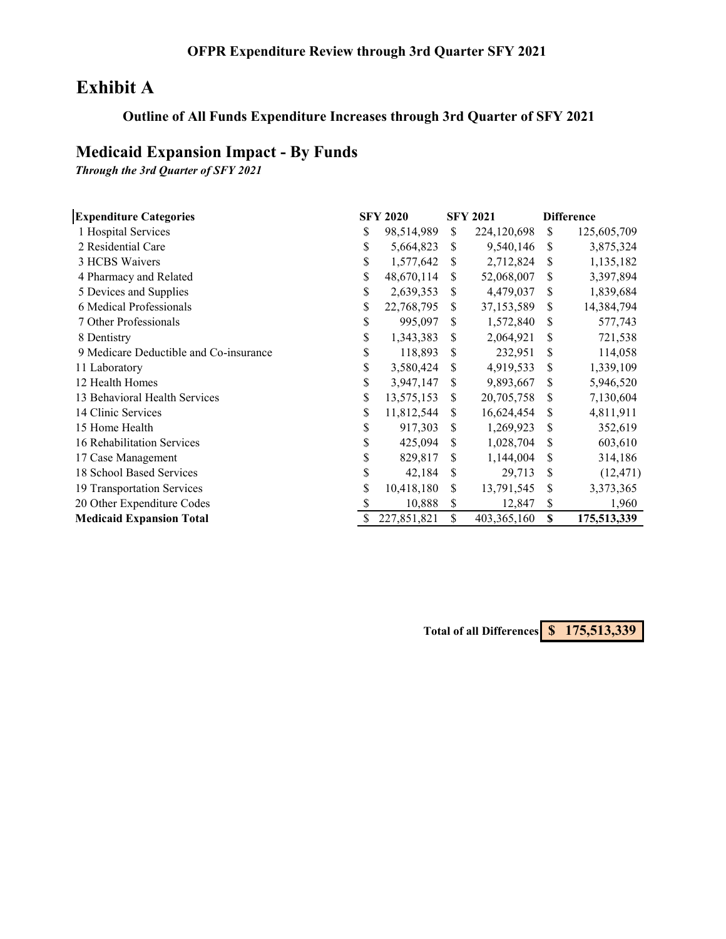# **Exhibit A**

## **Outline of All Funds Expenditure Increases through 3rd Quarter of SFY 2021**

## **Medicaid Expansion Impact - By Funds**

*Through the 3rd Quarter of SFY 2021*

| <b>Expenditure Categories</b>          | <b>SFY 2020</b>   |     | <b>SFY 2021</b> |    | <b>Difference</b> |
|----------------------------------------|-------------------|-----|-----------------|----|-------------------|
| 1 Hospital Services                    | \$<br>98,514,989  | \$  | 224,120,698     | \$ | 125,605,709       |
| 2 Residential Care                     | \$<br>5,664,823   | S   | 9,540,146       | \$ | 3,875,324         |
| 3 HCBS Waivers                         | \$<br>1,577,642   | S   | 2,712,824       | S  | 1,135,182         |
| 4 Pharmacy and Related                 | \$<br>48,670,114  | S   | 52,068,007      | \$ | 3,397,894         |
| 5 Devices and Supplies                 | \$<br>2,639,353   | \$  | 4,479,037       | \$ | 1,839,684         |
| 6 Medical Professionals                | \$<br>22,768,795  | \$  | 37,153,589      | S  | 14,384,794        |
| 7 Other Professionals                  | \$<br>995,097     | S   | 1,572,840       | S  | 577,743           |
| 8 Dentistry                            | \$<br>1,343,383   | S   | 2,064,921       | \$ | 721,538           |
| 9 Medicare Deductible and Co-insurance | \$<br>118,893     | \$  | 232,951         | \$ | 114,058           |
| 11 Laboratory                          | \$<br>3,580,424   | S   | 4,919,533       | \$ | 1,339,109         |
| 12 Health Homes                        | \$<br>3,947,147   | \$. | 9,893,667       | \$ | 5,946,520         |
| 13 Behavioral Health Services          | \$<br>13,575,153  | S   | 20,705,758      | \$ | 7,130,604         |
| 14 Clinic Services                     | \$<br>11,812,544  | \$  | 16,624,454      | \$ | 4,811,911         |
| 15 Home Health                         | \$<br>917,303     | S   | 1,269,923       | \$ | 352,619           |
| 16 Rehabilitation Services             | \$<br>425,094     | S   | 1,028,704       | \$ | 603,610           |
| 17 Case Management                     | \$<br>829,817     | S   | 1,144,004       | \$ | 314,186           |
| 18 School Based Services               | \$<br>42,184      | S   | 29,713          | \$ | (12, 471)         |
| 19 Transportation Services             | \$<br>10,418,180  | S   | 13,791,545      | \$ | 3,373,365         |
| 20 Other Expenditure Codes             | \$<br>10,888      | \$  | 12,847          | \$ | 1,960             |
| <b>Medicaid Expansion Total</b>        | \$<br>227,851,821 | \$  | 403,365,160     | \$ | 175,513,339       |

**Total of all Differences \$ 175,513,339**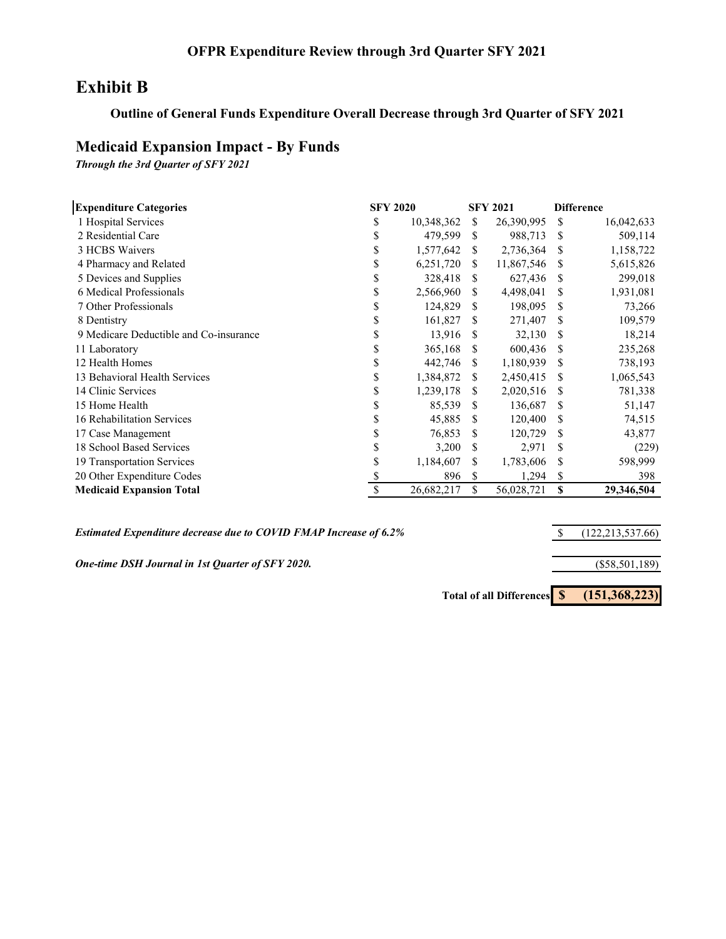### **OFPR Expenditure Review through 3rd Quarter SFY 2021**

## **Exhibit B**

#### **Outline of General Funds Expenditure Overall Decrease through 3rd Quarter of SFY 2021**

#### **Medicaid Expansion Impact - By Funds**

*Through the 3rd Quarter of SFY 2021*

| <b>Expenditure Categories</b>          | <b>SFY 2020</b> |            |     | <b>SFY 2021</b> | <b>Difference</b> |            |  |
|----------------------------------------|-----------------|------------|-----|-----------------|-------------------|------------|--|
| 1 Hospital Services                    | \$              | 10,348,362 | S   | 26,390,995      | S.                | 16,042,633 |  |
| 2 Residential Care                     | \$              | 479,599    | \$. | 988,713         | S                 | 509,114    |  |
| 3 HCBS Waivers                         | \$              | 1,577,642  | S   | 2,736,364       | \$.               | 1,158,722  |  |
| 4 Pharmacy and Related                 | \$              | 6,251,720  | \$. | 11,867,546      | \$.               | 5,615,826  |  |
| 5 Devices and Supplies                 | S               | 328,418    | \$. | 627,436         | S                 | 299,018    |  |
| 6 Medical Professionals                | \$              | 2,566,960  | \$. | 4,498,041       | S                 | 1,931,081  |  |
| 7 Other Professionals                  | S               | 124,829    | S.  | 198,095         | S                 | 73,266     |  |
| 8 Dentistry                            | S               | 161,827    | \$. | 271,407         | \$                | 109,579    |  |
| 9 Medicare Deductible and Co-insurance | S               | 13,916     | -S  | 32,130          | S                 | 18,214     |  |
| 11 Laboratory                          | S               | 365,168    | \$. | 600,436         | S                 | 235,268    |  |
| 12 Health Homes                        | S               | 442,746    | S   | 1,180,939       | \$.               | 738,193    |  |
| 13 Behavioral Health Services          | \$              | 1,384,872  | S   | 2,450,415       | S                 | 1,065,543  |  |
| 14 Clinic Services                     | \$              | 1,239,178  | \$. | 2,020,516       | S                 | 781,338    |  |
| 15 Home Health                         | \$              | 85,539     | S   | 136,687         | S                 | 51,147     |  |
| 16 Rehabilitation Services             | \$              | 45,885     | S.  | 120,400         | \$.               | 74,515     |  |
| 17 Case Management                     | \$              | 76,853     | S   | 120,729         | \$                | 43,877     |  |
| 18 School Based Services               | S               | 3,200      | S   | 2,971           | S                 | (229)      |  |
| 19 Transportation Services             | \$              | 1,184,607  | \$  | 1,783,606       | S                 | 598,999    |  |
| 20 Other Expenditure Codes             |                 | 896        | \$  | 1,294           | \$                | 398        |  |
| <b>Medicaid Expansion Total</b>        | S               | 26,682,217 | \$  | 56,028,721      | S                 | 29,346,504 |  |

*Estimated Expenditure decrease due to COVID FMAP Increase of 6.2%*

*One-time DSH Journal in 1st Quarter of SFY 2020.*

**Total of all Differences \$ (151,368,223)**

\$ (122,213,537.66)

(\$58,501,189)